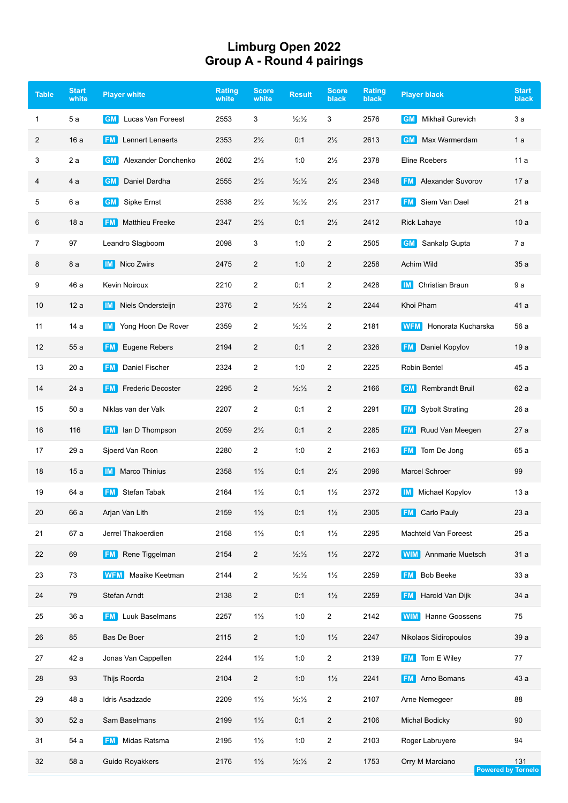## **Limburg Open 2022 Group A - Round 4 pairings**

| <b>Table</b> | <b>Start</b><br>white | <b>Player white</b>                   | <b>Rating</b><br>white | <b>Score</b><br>white | <b>Result</b>            | <b>Score</b><br><b>black</b> | <b>Rating</b><br>black | <b>Player black</b>                 | <b>Start</b><br>black            |
|--------------|-----------------------|---------------------------------------|------------------------|-----------------------|--------------------------|------------------------------|------------------------|-------------------------------------|----------------------------------|
| 1            | 5 a                   | <b>GM</b><br>Lucas Van Foreest        | 2553                   | 3                     | $\frac{1}{2}\frac{1}{2}$ | 3                            | 2576                   | Mikhail Gurevich<br><b>GM</b>       | 3а                               |
| 2            | 16 a                  | Lennert Lenaerts<br><b>FM</b>         | 2353                   | $2\frac{1}{2}$        | 0:1                      | $2\frac{1}{2}$               | 2613                   | Max Warmerdam<br>∣GM                | 1 a                              |
| 3            | 2 a                   | Alexander Donchenko<br><b>GM</b>      | 2602                   | $2\frac{1}{2}$        | 1:0                      | $2\frac{1}{2}$               | 2378                   | Eline Roebers                       | 11 a                             |
| 4            | 4 a                   | Daniel Dardha<br>GM                   | 2555                   | $2\frac{1}{2}$        | $\frac{1}{2}\frac{1}{2}$ | $2\frac{1}{2}$               | 2348                   | <b>FM</b> Alexander Suvorov         | 17 a                             |
| 5            | 6 a                   | <b>GM</b><br>Sipke Ernst              | 2538                   | $2\frac{1}{2}$        | $\frac{1}{2}\frac{1}{2}$ | $2\frac{1}{2}$               | 2317                   | Siem Van Dael<br><b>FM</b>          | 21 a                             |
| 6            | 18 a                  | <b>Matthieu Freeke</b><br><b>FM</b>   | 2347                   | $2\frac{1}{2}$        | 0:1                      | $2\frac{1}{2}$               | 2412                   | Rick Lahaye                         | 10a                              |
| 7            | 97                    | Leandro Slagboom                      | 2098                   | 3                     | 1:0                      | 2                            | 2505                   | <b>GM</b><br>Sankalp Gupta          | 7 a                              |
| 8            | 8 a                   | Nico Zwirs<br>IM I                    | 2475                   | 2                     | 1:0                      | $\overline{2}$               | 2258                   | Achim Wild                          | 35 a                             |
| 9            | 46 a                  | Kevin Noiroux                         | 2210                   | 2                     | 0:1                      | 2                            | 2428                   | <b>Christian Braun</b><br>IM I      | 9а                               |
| 10           | 12a                   | Niels Ondersteijn<br>IM I             | 2376                   | $\overline{2}$        | $\frac{1}{2}\frac{1}{2}$ | $\overline{2}$               | 2244                   | Khoi Pham                           | 41 a                             |
| 11           | 14 a                  | Yong Hoon De Rover<br>IM I            | 2359                   | 2                     | $\frac{1}{2}\frac{1}{2}$ | 2                            | 2181                   | Honorata Kucharska<br><b>WFM</b>    | 56 a                             |
| 12           | 55 a                  | Eugene Rebers<br><b>FM</b>            | 2194                   | 2                     | 0:1                      | 2                            | 2326                   | Daniel Kopylov<br><b>FM</b>         | 19 a                             |
| 13           | 20 a                  | Daniel Fischer<br>FM.                 | 2324                   | $\overline{2}$        | 1:0                      | 2                            | 2225                   | Robin Bentel                        | 45 a                             |
| 14           | 24 a                  | <b>Frederic Decoster</b><br><b>FM</b> | 2295                   | 2                     | $\frac{1}{2}\frac{1}{2}$ | 2                            | 2166                   | <b>CM</b> Rembrandt Bruil           | 62 a                             |
| 15           | 50 a                  | Niklas van der Valk                   | 2207                   | $\overline{2}$        | 0:1                      | 2                            | 2291                   | <b>Sybolt Strating</b><br><b>FM</b> | 26 a                             |
| 16           | 116                   | <b>FM</b> lan D Thompson              | 2059                   | $2\frac{1}{2}$        | 0:1                      | $\overline{2}$               | 2285                   | Ruud Van Meegen<br><b>FM</b>        | 27 a                             |
| 17           | 29 a                  | Sjoerd Van Roon                       | 2280                   | $\overline{2}$        | 1:0                      | $\overline{2}$               | 2163                   | <b>FM</b><br>Tom De Jong            | 65 a                             |
| 18           | 15a                   | Marco Thinius<br>IM.                  | 2358                   | $1\frac{1}{2}$        | 0:1                      | $2\frac{1}{2}$               | 2096                   | Marcel Schroer                      | 99                               |
| 19           | 64 a                  | Stefan Tabak<br><b>FM</b>             | 2164                   | $1\frac{1}{2}$        | 0:1                      | $1\frac{1}{2}$               | 2372                   | Michael Kopylov<br>IM.              | 13 a                             |
| 20           | 66 a                  | Arjan Van Lith                        | 2159                   | $1\frac{1}{2}$        | 0:1                      | $1\frac{1}{2}$               | 2305                   | <b>FM</b> Carlo Pauly               | 23 a                             |
| 21           | 67 a                  | Jerrel Thakoerdien                    | 2158                   | $1\frac{1}{2}$        | 0:1                      | $1\frac{1}{2}$               | 2295                   | <b>Machteld Van Foreest</b>         | 25a                              |
| 22           | 69                    | <b>FM</b> Rene Tiggelman              | 2154                   | $\overline{2}$        | $\frac{1}{2}\frac{1}{2}$ | $1\frac{1}{2}$               | 2272                   | Annmarie Muetsch<br><b>WIM</b>      | 31 a                             |
| 23           | 73                    | Maaike Keetman<br><b>WFM</b>          | 2144                   | $\overline{2}$        | $\frac{1}{2}\frac{1}{2}$ | $1\frac{1}{2}$               | 2259                   | <b>Bob Beeke</b><br><b>FM</b>       | 33 a                             |
| 24           | 79                    | Stefan Arndt                          | 2138                   | $\overline{2}$        | 0:1                      | $1\frac{1}{2}$               | 2259                   | Harold Van Dijk<br><b>FM</b>        | 34 a                             |
| 25           | 36 a                  | <b>FM</b> Luuk Baselmans              | 2257                   | $1\frac{1}{2}$        | 1:0                      | $\overline{a}$               | 2142                   | Hanne Goossens<br><b>WIM</b>        | 75                               |
| 26           | 85                    | Bas De Boer                           | 2115                   | $\overline{2}$        | 1:0                      | $1\frac{1}{2}$               | 2247                   | Nikolaos Sidiropoulos               | 39 a                             |
| 27           | 42 a                  | Jonas Van Cappellen                   | 2244                   | $1\frac{1}{2}$        | 1:0                      | $\overline{a}$               | 2139                   | Tom E Wiley<br><b>FM</b>            | 77                               |
| 28           | 93                    | Thijs Roorda                          | 2104                   | $\overline{2}$        | 1:0                      | $1\frac{1}{2}$               | 2241                   | <b>FM</b> Arno Bomans               | 43 a                             |
| 29           | 48 a                  | Idris Asadzade                        | 2209                   | $1\frac{1}{2}$        | 1/2:1/2                  | $\overline{a}$               | 2107                   | Arne Nemegeer                       | 88                               |
| 30           | 52 a                  | Sam Baselmans                         | 2199                   | $1\frac{1}{2}$        | 0:1                      | $\overline{2}$               | 2106                   | Michal Bodicky                      | 90                               |
| 31           | 54 a                  | Midas Ratsma<br><b>FM</b>             | 2195                   | $1\frac{1}{2}$        | 1:0                      | $\overline{2}$               | 2103                   | Roger Labruyere                     | 94                               |
| 32           | 58 a                  | Guido Royakkers                       | 2176                   | $1\frac{1}{2}$        | $\frac{1}{2}\frac{1}{2}$ | $\overline{c}$               | 1753                   | Orry M Marciano                     | 131<br><b>Powered by Tornelo</b> |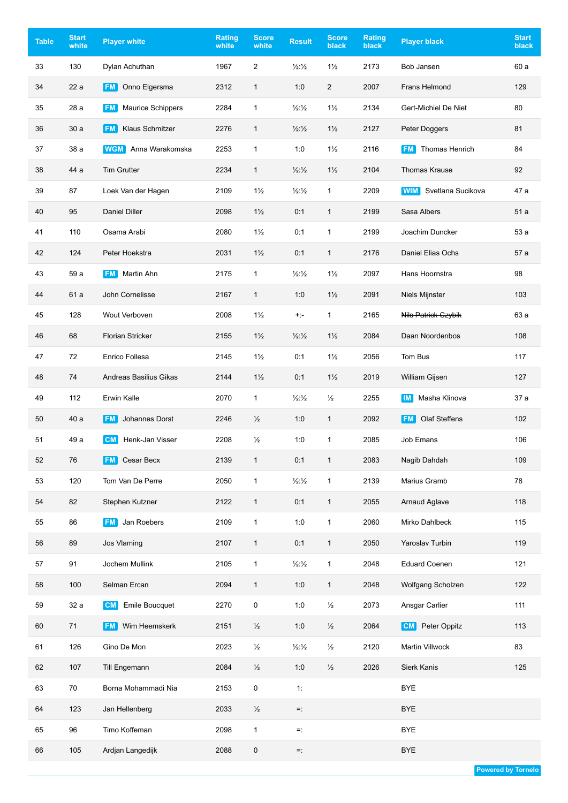| <b>Table</b> | <b>Start</b><br>white | <b>Player white</b>                   | <b>Rating</b><br>white | <b>Score</b><br>white | <b>Result</b>            | <b>Score</b><br>black | Rating<br>black | <b>Player black</b>             | <b>Start</b><br>black |
|--------------|-----------------------|---------------------------------------|------------------------|-----------------------|--------------------------|-----------------------|-----------------|---------------------------------|-----------------------|
| 33           | 130                   | Dylan Achuthan                        | 1967                   | 2                     | $\frac{1}{2}\frac{1}{2}$ | $1\frac{1}{2}$        | 2173            | Bob Jansen                      | 60 a                  |
| 34           | 22 a                  | Onno Elgersma<br><b>FM</b>            | 2312                   | $\mathbf{1}$          | 1:0                      | $\overline{2}$        | 2007            | Frans Helmond                   | 129                   |
| 35           | 28 a                  | <b>Maurice Schippers</b><br><b>FM</b> | 2284                   | 1                     | $\frac{1}{2}\frac{1}{2}$ | $1\frac{1}{2}$        | 2134            | Gert-Michiel De Niet            | 80                    |
| 36           | 30a                   | <b>Klaus Schmitzer</b><br><b>FM</b>   | 2276                   | $\mathbf{1}$          | 1/2:1/2                  | $1\frac{1}{2}$        | 2127            | Peter Doggers                   | 81                    |
| 37           | 38 a                  | Anna Warakomska<br><b>WGM</b>         | 2253                   | $\mathbf{1}$          | 1:0                      | $1\frac{1}{2}$        | 2116            | <b>FM</b> Thomas Henrich        | 84                    |
| 38           | 44 a                  | <b>Tim Grutter</b>                    | 2234                   | $\mathbf{1}$          | $\frac{1}{2}\frac{1}{2}$ | $1\frac{1}{2}$        | 2104            | <b>Thomas Krause</b>            | 92                    |
| 39           | 87                    | Loek Van der Hagen                    | 2109                   | $1\frac{1}{2}$        | $\frac{1}{2}\frac{1}{2}$ | $\mathbf{1}$          | 2209            | Svetlana Sucikova<br><b>WIM</b> | 47 a                  |
| 40           | 95                    | <b>Daniel Diller</b>                  | 2098                   | $1\frac{1}{2}$        | 0:1                      | 1                     | 2199            | Sasa Albers                     | 51a                   |
| 41           | 110                   | Osama Arabi                           | 2080                   | $1\frac{1}{2}$        | 0:1                      | 1                     | 2199            | Joachim Duncker                 | 53 a                  |
| 42           | 124                   | Peter Hoekstra                        | 2031                   | $1\frac{1}{2}$        | 0:1                      | $\mathbf{1}$          | 2176            | Daniel Elias Ochs               | 57 a                  |
| 43           | 59 a                  | Martin Ahn<br><b>FM</b>               | 2175                   | $\mathbf{1}$          | $\frac{1}{2}\frac{1}{2}$ | $1\frac{1}{2}$        | 2097            | Hans Hoornstra                  | 98                    |
| 44           | 61 a                  | John Cornelisse                       | 2167                   | $\mathbf{1}$          | 1:0                      | $1\frac{1}{2}$        | 2091            | Niels Mijnster                  | 103                   |
| 45           | 128                   | Wout Verboven                         | 2008                   | $1\frac{1}{2}$        | $+:-$                    | $\mathbf{1}$          | 2165            | Nils Patrick Czybik             | 63 a                  |
| 46           | 68                    | <b>Florian Stricker</b>               | 2155                   | $1\frac{1}{2}$        | $\frac{1}{2}\frac{1}{2}$ | $1\frac{1}{2}$        | 2084            | Daan Noordenbos                 | 108                   |
| 47           | 72                    | Enrico Follesa                        | 2145                   | $1\frac{1}{2}$        | 0:1                      | $1\frac{1}{2}$        | 2056            | Tom Bus                         | 117                   |
| 48           | 74                    | Andreas Basilius Gikas                | 2144                   | $1\frac{1}{2}$        | 0:1                      | $1\frac{1}{2}$        | 2019            | William Gijsen                  | 127                   |
| 49           | 112                   | <b>Erwin Kalle</b>                    | 2070                   | $\mathbf{1}$          | $\frac{1}{2}\frac{1}{2}$ | $\frac{1}{2}$         | 2255            | Masha Klinova<br><b>IM</b>      | 37 a                  |
| 50           | 40 a                  | <b>FM</b><br>Johannes Dorst           | 2246                   | $\frac{1}{2}$         | 1:0                      | $\mathbf{1}$          | 2092            | Olaf Steffens<br><b>FM</b>      | 102                   |
| 51           | 49 a                  | Henk-Jan Visser<br><b>CM</b>          | 2208                   | $\frac{1}{2}$         | 1:0                      | 1                     | 2085            | Job Emans                       | 106                   |
| 52           | 76                    | Cesar Becx<br><b>FM</b>               | 2139                   | $\mathbf{1}$          | 0:1                      | $\mathbf{1}$          | 2083            | Nagib Dahdah                    | 109                   |
| 53           | 120                   | Tom Van De Perre                      | 2050                   | 1                     | $\frac{1}{2}\frac{1}{2}$ | $\mathbf{1}$          | 2139            | Marius Gramb                    | 78                    |
| 54           | 82                    | Stephen Kutzner                       | 2122                   | $\mathbf{1}$          | 0:1                      | $\mathbf{1}$          | 2055            | Arnaud Aglave                   | 118                   |
| 55           | 86                    | <b>FM</b> Jan Roebers                 | 2109                   | $\mathbf{1}$          | 1:0                      | $\mathbf{1}$          | 2060            | Mirko Dahlbeck                  | 115                   |
| 56           | 89                    | Jos Vlaming                           | 2107                   | $\mathbf{1}$          | 0:1                      | $\mathbf{1}$          | 2050            | Yaroslav Turbin                 | 119                   |
| 57           | 91                    | Jochem Mullink                        | 2105                   | $\mathbf{1}$          | $\frac{1}{2}\frac{1}{2}$ | $\mathbf{1}$          | 2048            | <b>Eduard Coenen</b>            | 121                   |
| 58           | 100                   | Selman Ercan                          | 2094                   | $\mathbf{1}$          | 1:0                      | $\mathbf{1}$          | 2048            | Wolfgang Scholzen               | 122                   |
| 59           | 32 a                  | <b>Emile Boucquet</b><br><b>CM</b>    | 2270                   | 0                     | 1:0                      | $\frac{1}{2}$         | 2073            | Ansgar Carlier                  | 111                   |
| 60           | 71                    | Wim Heemskerk<br><b>FM</b>            | 2151                   | $\frac{1}{2}$         | 1:0                      | $\frac{1}{2}$         | 2064            | Peter Oppitz<br><b>CM</b>       | 113                   |
| 61           | 126                   | Gino De Mon                           | 2023                   | $\frac{1}{2}$         | $\frac{1}{2}\frac{1}{2}$ | $\frac{1}{2}$         | 2120            | Martin Villwock                 | 83                    |
| 62           | 107                   | Till Engemann                         | 2084                   | $\frac{1}{2}$         | 1:0                      | $\frac{1}{2}$         | 2026            | Sierk Kanis                     | 125                   |
| 63           | 70                    | Borna Mohammadi Nia                   | 2153                   | 0                     | 1:                       |                       |                 | <b>BYE</b>                      |                       |
| 64           | 123                   | Jan Hellenberg                        | 2033                   | $\frac{1}{2}$         | $=$ :                    |                       |                 | <b>BYE</b>                      |                       |
| 65           | 96                    | Timo Koffeman                         | 2098                   | 1                     | $=$ :                    |                       |                 | <b>BYE</b>                      |                       |
| 66           | 105                   | Ardjan Langedijk                      | 2088                   | 0                     | $=$ :                    |                       |                 | <b>BYE</b>                      |                       |